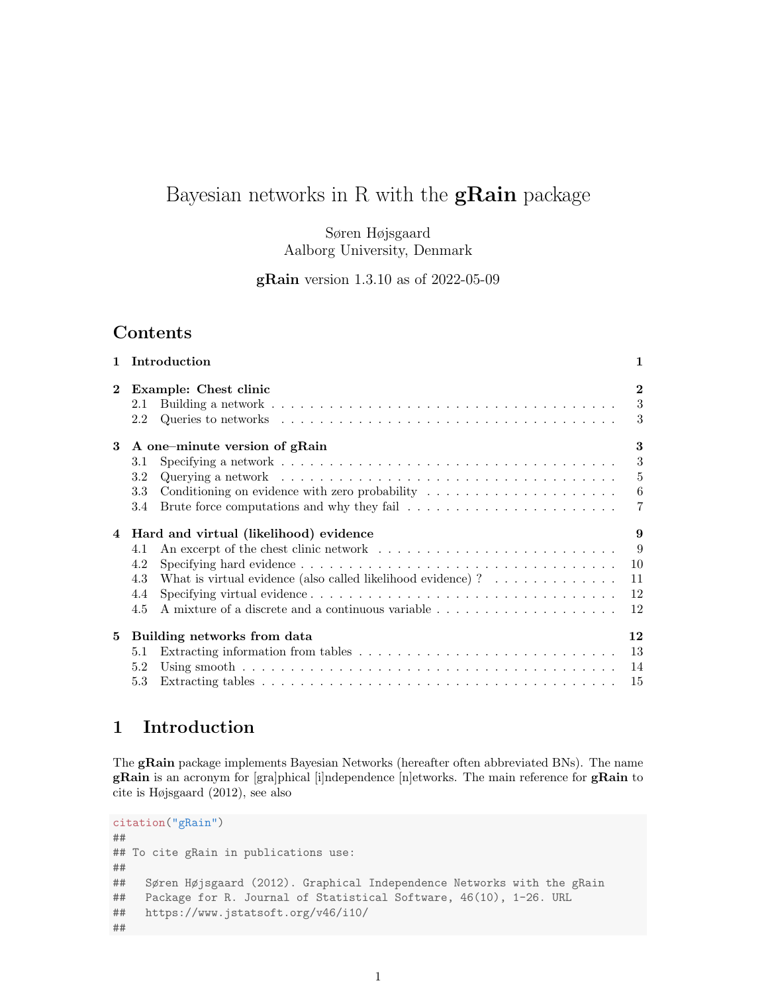# Bayesian networks in R with the  $gRain$  package

Søren Højsgaard Aalborg University, Denmark

gRain version 1.3.10 as of 2022-05-09

# Contents

| $\mathbf{1}$   | Introduction                                                                                                                                                                                                             | 1                                     |
|----------------|--------------------------------------------------------------------------------------------------------------------------------------------------------------------------------------------------------------------------|---------------------------------------|
| $\mathbf{2}$   | Example: Chest clinic<br>2.1<br>Queries to networks $\dots \dots \dots \dots \dots \dots \dots \dots \dots \dots \dots \dots \dots \dots \dots$<br>2.2                                                                   | $\mathbf{2}$<br>3<br>3                |
| 3              | A one-minute version of gRain<br>3.1<br>3.2<br>Conditioning on evidence with zero probability $\dots \dots \dots \dots \dots \dots \dots$<br>3.3<br>3.4                                                                  | 3<br>3<br>5<br>$6\phantom{.0}6$<br>-7 |
| $\overline{4}$ | Hard and virtual (likelihood) evidence<br>4.1<br>4.2<br>What is virtual evidence (also called likelihood evidence) ? $\dots \dots \dots \dots$<br>4.3<br>4.4<br>A mixture of a discrete and a continuous variable<br>4.5 | 9<br>- 9<br>10<br>11<br>12<br>12      |
| 5              | Building networks from data<br>5.1<br>5.2<br>5.3                                                                                                                                                                         | 12<br>13<br>14<br>15                  |

# 1 Introduction

The gRain package implements Bayesian Networks (hereafter often abbreviated BNs). The name gRain is an acronym for [gra]phical [i]ndependence [n]etworks. The main reference for gRain to cite is Højsgaard (2012), see also

```
citation("gRain")
##
## To cite gRain in publications use:
##
## Søren Højsgaard (2012). Graphical Independence Networks with the gRain
## Package for R. Journal of Statistical Software, 46(10), 1-26. URL
## https://www.jstatsoft.org/v46/i10/
##
```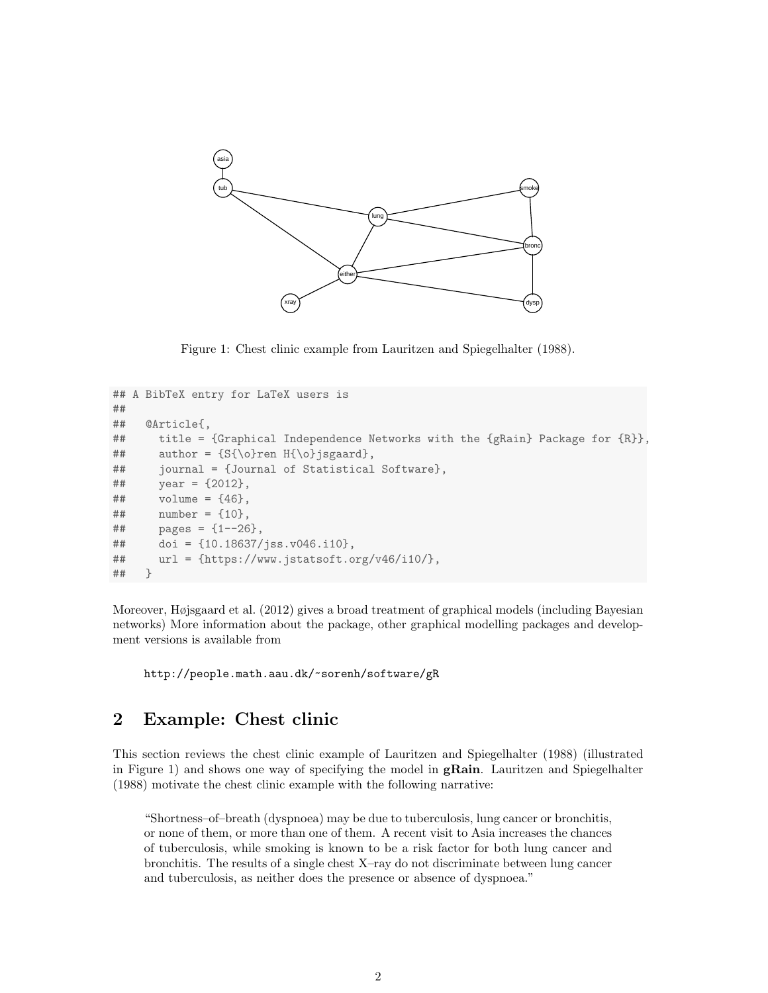

Figure 1: Chest clinic example from Lauritzen and Spiegelhalter (1988).

```
## A BibTeX entry for LaTeX users is
##
## @Article{,
## title = {Graphical Independence Networks with the {gRain} Package for {R}},
## author = {S{\o}ren H{\o}jsgaard},## journal = {Journal of Statistical Software},
\# year = {2012},
\# volume = {46},
## number = {10},
\# pages = \{1 - -26\},
## doi = {10.18637/jss.v046.i10},
## url = {https://www.jstatsoft.org/v46/i10/},
## }
```
Moreover, Højsgaard et al. (2012) gives a broad treatment of graphical models (including Bayesian networks) More information about the package, other graphical modelling packages and development versions is available from

http://people.math.aau.dk/~sorenh/software/gR

## 2 Example: Chest clinic

This section reviews the chest clinic example of Lauritzen and Spiegelhalter (1988) (illustrated in Figure 1) and shows one way of specifying the model in **gRain**. Lauritzen and Spiegelhalter (1988) motivate the chest clinic example with the following narrative:

"Shortness–of–breath (dyspnoea) may be due to tuberculosis, lung cancer or bronchitis, or none of them, or more than one of them. A recent visit to Asia increases the chances of tuberculosis, while smoking is known to be a risk factor for both lung cancer and bronchitis. The results of a single chest X–ray do not discriminate between lung cancer and tuberculosis, as neither does the presence or absence of dyspnoea."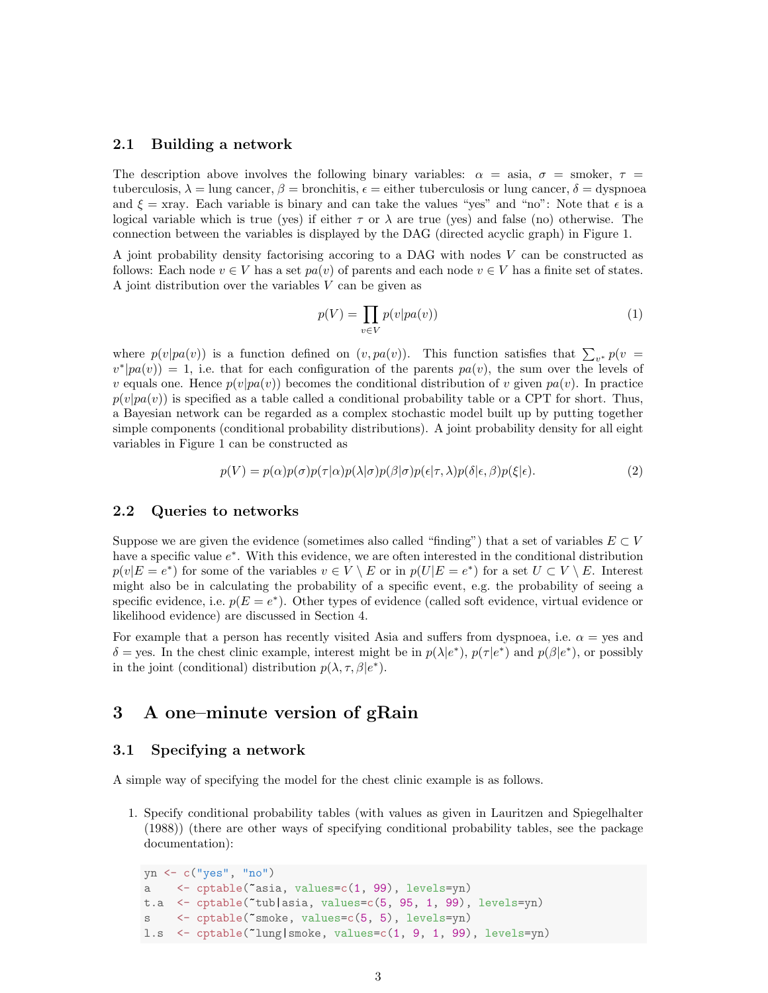### 2.1 Building a network

The description above involves the following binary variables:  $\alpha = \text{asia}, \sigma = \text{smoker}, \tau =$ tuberculosis,  $\lambda = \text{lung cancer}, \beta = \text{branchitis}, \epsilon = \text{either tuberculosis}$  or lung cancer,  $\delta = \text{dyspnoea}$ and  $\xi$  = xray. Each variable is binary and can take the values "yes" and "no": Note that  $\epsilon$  is a logical variable which is true (yes) if either  $\tau$  or  $\lambda$  are true (yes) and false (no) otherwise. The connection between the variables is displayed by the DAG (directed acyclic graph) in Figure 1.

A joint probability density factorising accoring to a DAG with nodes V can be constructed as follows: Each node  $v \in V$  has a set  $pa(v)$  of parents and each node  $v \in V$  has a finite set of states. A joint distribution over the variables  $V$  can be given as

$$
p(V) = \prod_{v \in V} p(v|pa(v))
$$
\n(1)

where  $p(v|pa(v))$  is a function defined on  $(v, pa(v))$ . This function satisfies that  $\sum_{v^*} p(v =$  $v^*|pa(v)\rangle = 1$ , i.e. that for each configuration of the parents  $pa(v)$ , the sum over the levels of v equals one. Hence  $p(v|pa(v))$  becomes the conditional distribution of v given  $pa(v)$ . In practice  $p(v|pa(v))$  is specified as a table called a conditional probability table or a CPT for short. Thus, a Bayesian network can be regarded as a complex stochastic model built up by putting together simple components (conditional probability distributions). A joint probability density for all eight variables in Figure 1 can be constructed as

$$
p(V) = p(\alpha)p(\sigma)p(\tau|\alpha)p(\lambda|\sigma)p(\beta|\sigma)p(\epsilon|\tau,\lambda)p(\delta|\epsilon,\beta)p(\xi|\epsilon).
$$
\n(2)

#### 2.2 Queries to networks

Suppose we are given the evidence (sometimes also called "finding") that a set of variables  $E \subset V$ have a specific value  $e^*$ . With this evidence, we are often interested in the conditional distribution  $p(v|E = e^*)$  for some of the variables  $v \in V \setminus E$  or in  $p(U|E = e^*)$  for a set  $U \subset V \setminus E$ . Interest might also be in calculating the probability of a specific event, e.g. the probability of seeing a specific evidence, i.e.  $p(E = e^*)$ . Other types of evidence (called soft evidence, virtual evidence or likelihood evidence) are discussed in Section 4.

For example that a person has recently visited Asia and suffers from dyspnoea, i.e.  $\alpha =$  yes and  $\delta$  = yes. In the chest clinic example, interest might be in  $p(\lambda|e^*)$ ,  $p(\tau|e^*)$  and  $p(\beta|e^*)$ , or possibly in the joint (conditional) distribution  $p(\lambda, \tau, \beta | e^*).$ 

# 3 A one–minute version of gRain

#### 3.1 Specifying a network

A simple way of specifying the model for the chest clinic example is as follows.

1. Specify conditional probability tables (with values as given in Lauritzen and Spiegelhalter (1988)) (there are other ways of specifying conditional probability tables, see the package documentation):

```
yn <- c("yes", "no")
a <- cptable(~asia, values=c(1, 99), levels=yn)
t.a <- cptable(~tub|asia, values=c(5, 95, 1, 99), levels=yn)
s <- cptable(~smoke, values=c(5, 5), levels=yn)
l.s <- cptable(~lung|smoke, values=c(1, 9, 1, 99), levels=yn)
```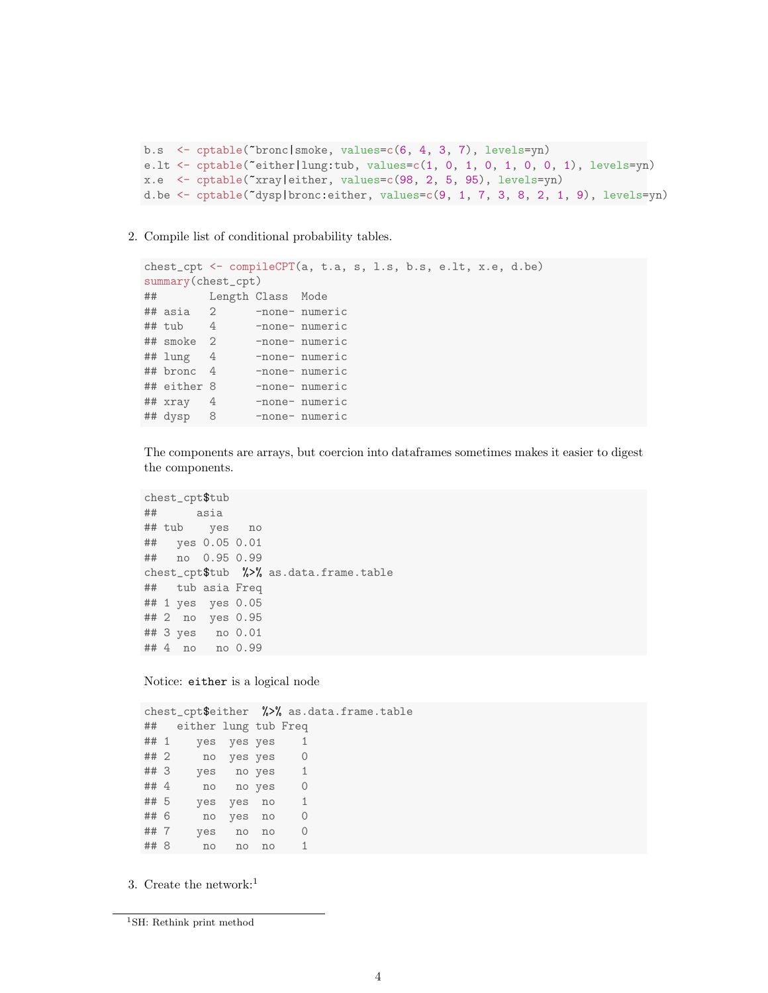```
b.s <- cptable(~bronc|smoke, values=c(6, 4, 3, 7), levels=yn)
e.lt <- cptable(~either|lung:tub, values=c(1, 0, 1, 0, 1, 0, 0, 1), levels=yn)
x.e <- cptable(~xray|either, values=c(98, 2, 5, 95), levels=yn)
d.be \leq cptable(\leqdysp|bronc:either, values=c(9, 1, 7, 3, 8, 2, 1, 9), levels=yn)
```
#### 2. Compile list of conditional probability tables.

```
chest_cpt <- compileCPT(a, t.a, s, l.s, b.s, e.lt, x.e, d.be)
summary(chest_cpt)
## Length Class Mode
## asia 2 -none- numeric
## tub 4 -none- numeric
## smoke 2 -none- numeric
## lung 4 -none- numeric
## bronc 4 -none- numeric
## either 8 -none- numeric
## xray 4 -none- numeric
## dysp 8 -none- numeric
```
The components are arrays, but coercion into dataframes sometimes makes it easier to digest the components.

```
chest_cpt$tub
## asia
## tub yes no
## yes 0.05 0.01
## no 0.95 0.99
chest_cpt$tub %>% as.data.frame.table
## tub asia Freq
## 1 yes yes 0.05
## 2 no yes 0.95
## 3 yes no 0.01
## 4 no no 0.99
```
Notice: either is a logical node

chest\_cpt\$either %>% as.data.frame.table ## either lung tub Freq ## 1 yes yes yes 1 ## 2 no yes yes 0 ## 3 yes no yes 1 ## 4 no no yes 0 ## 5 yes yes no 1 ## 6 no yes no 0 ## 7 yes no no 0 ## 8 no no no 1

3. Create the network:<sup>1</sup>

<sup>1</sup>SH: Rethink print method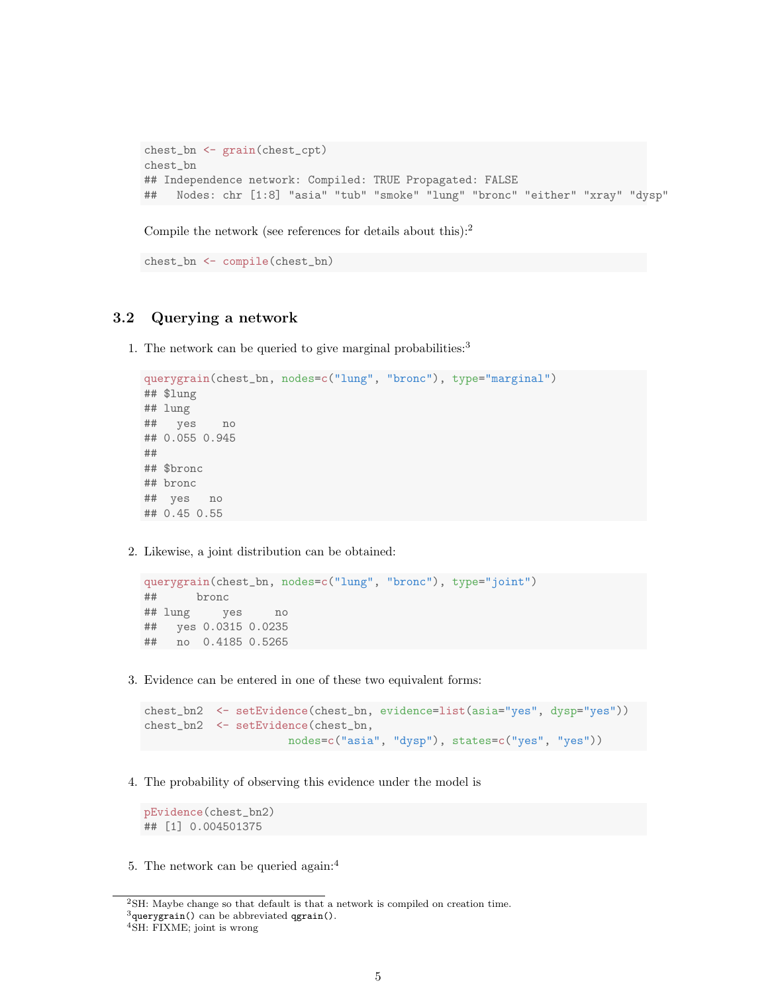```
chest_bn <- grain(chest_cpt)
chest_bn
## Independence network: Compiled: TRUE Propagated: FALSE
## Nodes: chr [1:8] "asia" "tub" "smoke" "lung" "bronc" "either" "xray" "dysp"
```
Compile the network (see references for details about this): $2$ 

```
chest_bn <- compile(chest_bn)
```
## 3.2 Querying a network

1. The network can be queried to give marginal probabilities:<sup>3</sup>

```
querygrain(chest_bn, nodes=c("lung", "bronc"), type="marginal")
## $lung
## lung
## yes no
## 0.055 0.945
##
## $bronc
## bronc
## yes no
## 0.45 0.55
```
2. Likewise, a joint distribution can be obtained:

```
querygrain(chest_bn, nodes=c("lung", "bronc"), type="joint")
## bronc
## lung yes no
## yes 0.0315 0.0235
## no 0.4185 0.5265
```
3. Evidence can be entered in one of these two equivalent forms:

```
chest_bn2 <- setEvidence(chest_bn, evidence=list(asia="yes", dysp="yes"))
chest_bn2 <- setEvidence(chest_bn,
                     nodes=c("asia", "dysp"), states=c("yes", "yes"))
```
4. The probability of observing this evidence under the model is

```
pEvidence(chest_bn2)
## [1] 0.004501375
```
5. The network can be queried again:<sup>4</sup>

<sup>2</sup>SH: Maybe change so that default is that a network is compiled on creation time.  $3$ querygrain() can be abbreviated qgrain().

<sup>4</sup>SH: FIXME; joint is wrong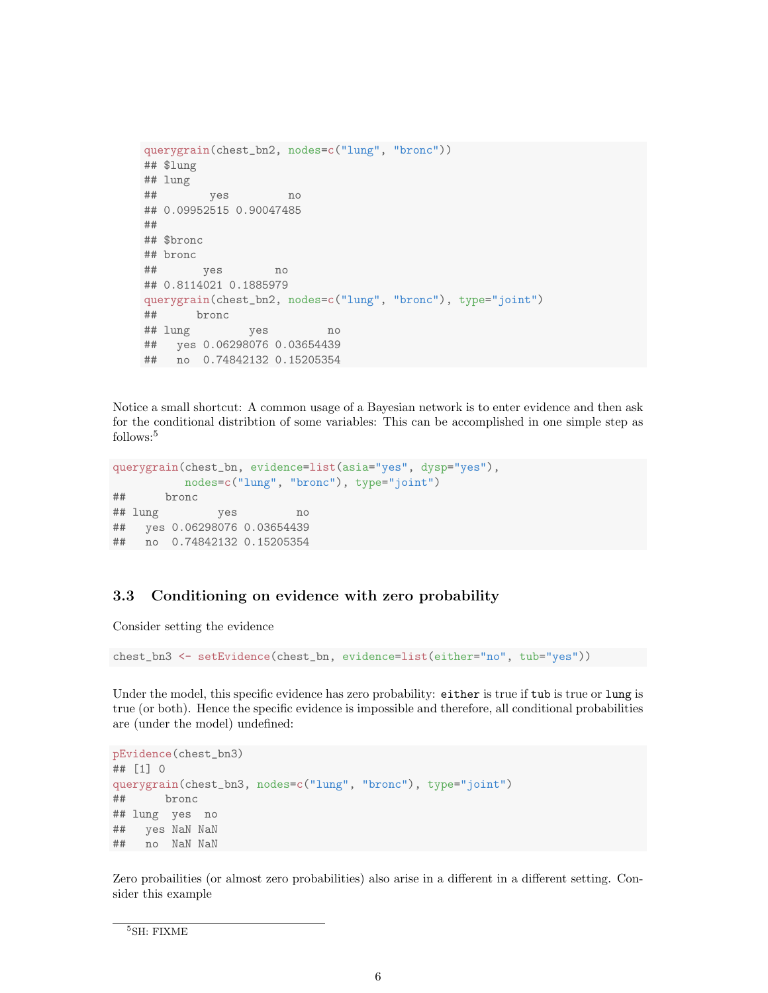```
querygrain(chest_bn2, nodes=c("lung", "bronc"))
## $lung
## lung
## yes no
## 0.09952515 0.90047485
##
## $bronc
## bronc
## yes no
## 0.8114021 0.1885979
querygrain(chest_bn2, nodes=c("lung", "bronc"), type="joint")
## bronc
## lung yes no
## yes 0.06298076 0.03654439
## no 0.74842132 0.15205354
```
Notice a small shortcut: A common usage of a Bayesian network is to enter evidence and then ask for the conditional distribtion of some variables: This can be accomplished in one simple step as  $\rm{follows:}^5$ 

```
querygrain(chest_bn, evidence=list(asia="yes", dysp="yes"),
         nodes=c("lung", "bronc"), type="joint")
## bronc
## lung yes no
## yes 0.06298076 0.03654439
## no 0.74842132 0.15205354
```
### 3.3 Conditioning on evidence with zero probability

Consider setting the evidence

chest\_bn3 <- setEvidence(chest\_bn, evidence=list(either="no", tub="yes"))

Under the model, this specific evidence has zero probability: either is true if tub is true or lung is true (or both). Hence the specific evidence is impossible and therefore, all conditional probabilities are (under the model) undefined:

```
pEvidence(chest_bn3)
## [1] 0
querygrain(chest_bn3, nodes=c("lung", "bronc"), type="joint")
## bronc
## lung yes no
## yes NaN NaN
## no NaN NaN
```
Zero probailities (or almost zero probabilities) also arise in a different in a different setting. Consider this example

<sup>5</sup>SH: FIXME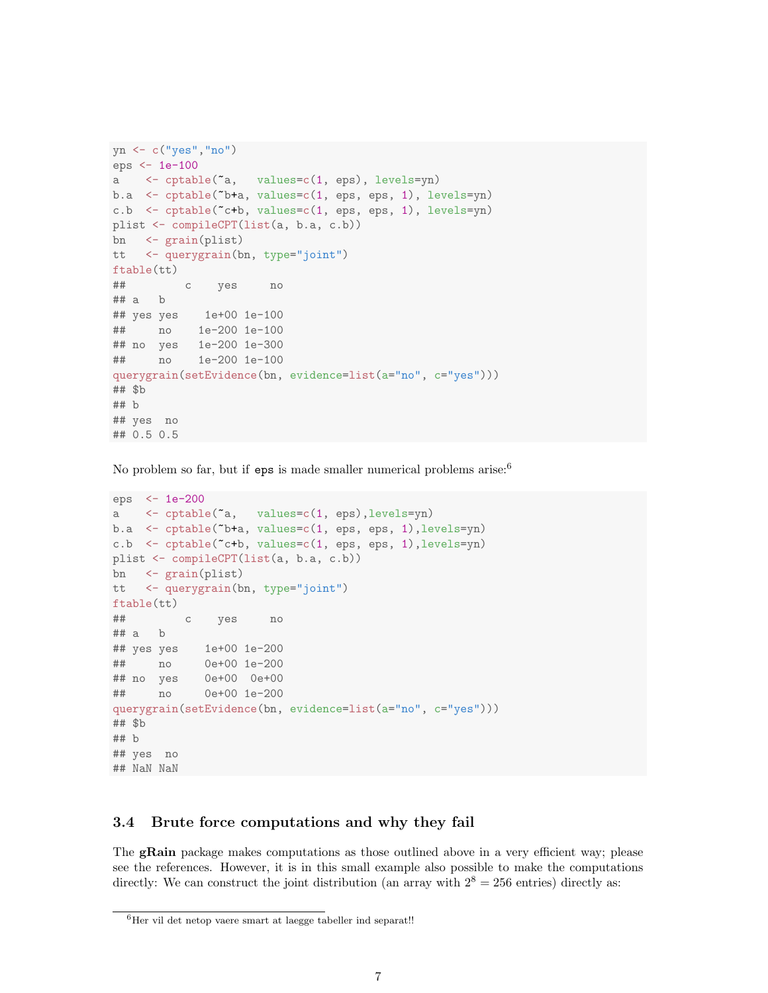```
yn <- c("yes","no")
eps <- 1e-100
a <- cptable(~a, values=c(1, eps), levels=yn)
b.a \leq cptable("b+a, values=c(1, eps, eps, 1), levels=yn)
c.b \leq cptable(\leq+b, values=c(1, eps, eps, 1), levels=yn)
plist <- compileCPT(list(a, b.a, c.b))
bn <- grain(plist)
tt <- querygrain(bn, type="joint")
ftable(tt)
## c yes no
## a b
## yes yes 1e+00 1e-100
## no 1e-200 1e-100
## no yes 1e-200 1e-300
## no 1e-200 1e-100
querygrain(setEvidence(bn, evidence=list(a="no", c="yes")))
## $b
## b
## yes no
## 0.5 0.5
```
No problem so far, but if eps is made smaller numerical problems arise:<sup>6</sup>

```
eps <- 1e-200
a <- cptable(~a, values=c(1, eps),levels=yn)
b.a <- cptable(~b+a, values=c(1, eps, eps, 1),levels=yn)
c.b <- cptable(~c+b, values=c(1, eps, eps, 1),levels=yn)
plist <- compileCPT(list(a, b.a, c.b))
bn <- grain(plist)
tt <- querygrain(bn, type="joint")
ftable(tt)
## c yes no
## a b
## yes yes 1e+00 1e-200
## no 0e+00 1e-200
## no yes 0e+00 0e+00
## no 0e+00 1e-200
querygrain(setEvidence(bn, evidence=list(a="no", c="yes")))
## $b
## b
## yes no
## NaN NaN
```
### 3.4 Brute force computations and why they fail

The **gRain** package makes computations as those outlined above in a very efficient way; please see the references. However, it is in this small example also possible to make the computations directly: We can construct the joint distribution (an array with  $2^8 = 256$  entries) directly as:

 ${}^{6}$ Her vil det netop vaere smart at laegge tabeller ind separat!!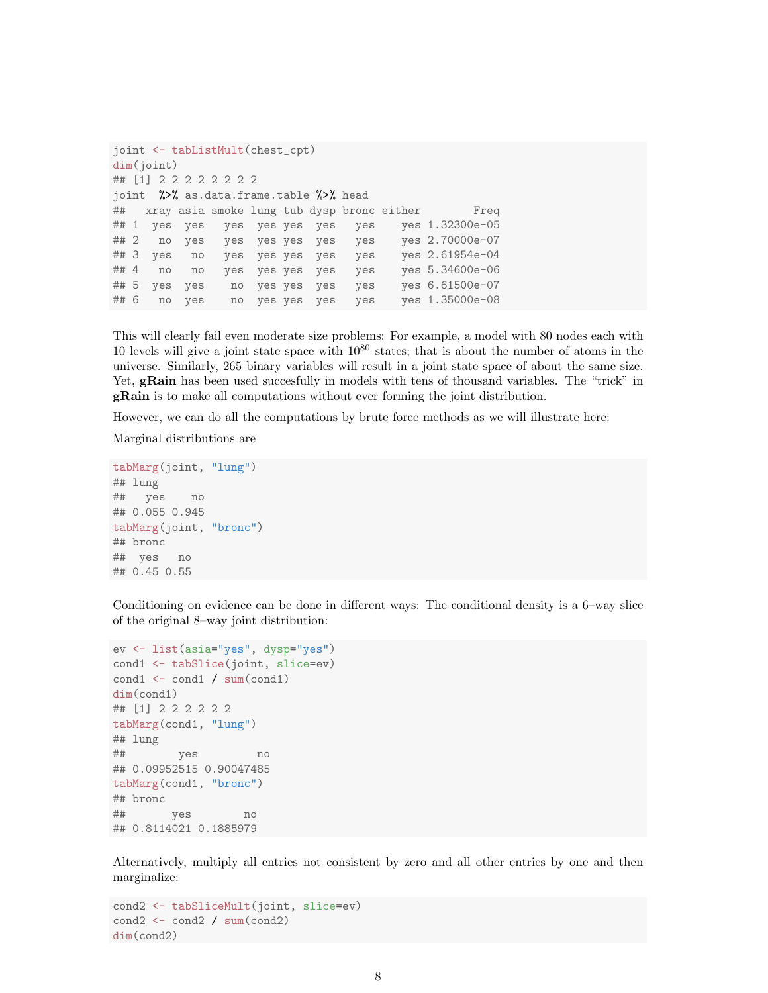```
joint <- tabListMult(chest_cpt)
dim(joint)
## [1] 2 2 2 2 2 2 2 2
joint %>% as.data.frame.table %>% head
## xray asia smoke lung tub dysp bronc either Freq
## 1 yes yes yes yes yes yes yes yes 1.32300e-05
## 2 no yes yes yes yes yes yes yes 2.70000e-07
## 3 yes no yes yes yes yes yes yes 2.61954e-04
## 4 no no yes yes yes yes yes yes 5.34600e-06
## 5 yes yes no yes yes yes yes yes 6.61500e-07
## 6 no yes no yes yes yes yes yes 1.35000e-08
```
This will clearly fail even moderate size problems: For example, a model with 80 nodes each with 10 levels will give a joint state space with  $10^{80}$  states; that is about the number of atoms in the universe. Similarly, 265 binary variables will result in a joint state space of about the same size. Yet, **gRain** has been used succesfully in models with tens of thousand variables. The "trick" in gRain is to make all computations without ever forming the joint distribution.

However, we can do all the computations by brute force methods as we will illustrate here:

Marginal distributions are

```
tabMarg(joint, "lung")
## lung
## yes no
## 0.055 0.945
tabMarg(joint, "bronc")
## bronc
## yes no
## 0.45 0.55
```
Conditioning on evidence can be done in different ways: The conditional density is a 6–way slice of the original 8–way joint distribution:

```
ev <- list(asia="yes", dysp="yes")
cond1 <- tabSlice(joint, slice=ev)
\text{cond1} \leftarrow \text{cond1} / \text{sum}(\text{cond1})dim(cond1)
## [1] 2 2 2 2 2 2
tabMarg(cond1, "lung")
## lung
## yes no
## 0.09952515 0.90047485
tabMarg(cond1, "bronc")
## bronc
## yes no
## 0.8114021 0.1885979
```
Alternatively, multiply all entries not consistent by zero and all other entries by one and then marginalize:

```
cond2 <- tabSliceMult(joint, slice=ev)
cond2 \leftarrow cond2 / sum(cond2)dim(cond2)
```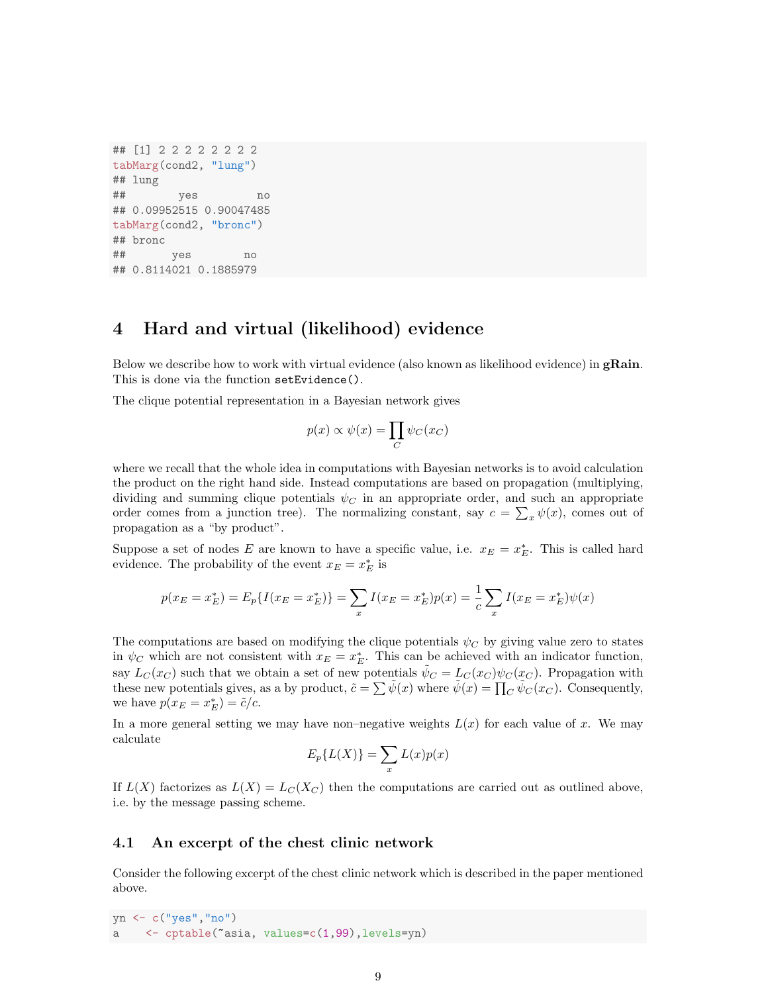```
## [1] 2 2 2 2 2 2 2 2
tabMarg(cond2, "lung")
## lung
## yes no
## 0.09952515 0.90047485
tabMarg(cond2, "bronc")
## bronc
## yes no
## 0.8114021 0.1885979
```
# 4 Hard and virtual (likelihood) evidence

Below we describe how to work with virtual evidence (also known as likelihood evidence) in gRain. This is done via the function setEvidence().

The clique potential representation in a Bayesian network gives

$$
p(x) \propto \psi(x) = \prod_C \psi_C(x_C)
$$

where we recall that the whole idea in computations with Bayesian networks is to avoid calculation the product on the right hand side. Instead computations are based on propagation (multiplying, dividing and summing clique potentials  $\psi_C$  in an appropriate order, and such an appropriate order comes from a junction tree). The normalizing constant, say  $c = \sum_x \psi(x)$ , comes out of propagation as a "by product".

Suppose a set of nodes E are known to have a specific value, i.e.  $x_E = x_E^*$ . This is called hard evidence. The probability of the event  $x_E = x_E^*$  is

$$
p(x_E = x_E^*) = E_p\{I(x_E = x_E^*)\} = \sum_x I(x_E = x_E^*)p(x) = \frac{1}{c} \sum_x I(x_E = x_E^*)\psi(x)
$$

The computations are based on modifying the clique potentials  $\psi_C$  by giving value zero to states in  $\psi_C$  which are not consistent with  $x_E = x_E^*$ . This can be achieved with an indicator function, say  $L_C(x_C)$  such that we obtain a set of new potentials  $\tilde{\psi}_C = L_C(x_C) \psi_C(x_C)$ . Propagation with these new potentials gives, as a by product,  $\tilde{c} = \sum \tilde{\psi}(x)$  where  $\tilde{\psi}(x) = \prod_{C} \tilde{\psi}_{C}(x_C)$ . Consequently, we have  $p(x_E = x_E^*) = \tilde{c}/c$ .

In a more general setting we may have non–negative weights  $L(x)$  for each value of x. We may calculate

$$
E_p\{L(X)\} = \sum_x L(x)p(x)
$$

If  $L(X)$  factorizes as  $L(X) = L<sub>C</sub>(X<sub>C</sub>)$  then the computations are carried out as outlined above, i.e. by the message passing scheme.

#### 4.1 An excerpt of the chest clinic network

Consider the following excerpt of the chest clinic network which is described in the paper mentioned above.

yn <- c("yes","no") a <- cptable(~asia, values=c(1,99),levels=yn)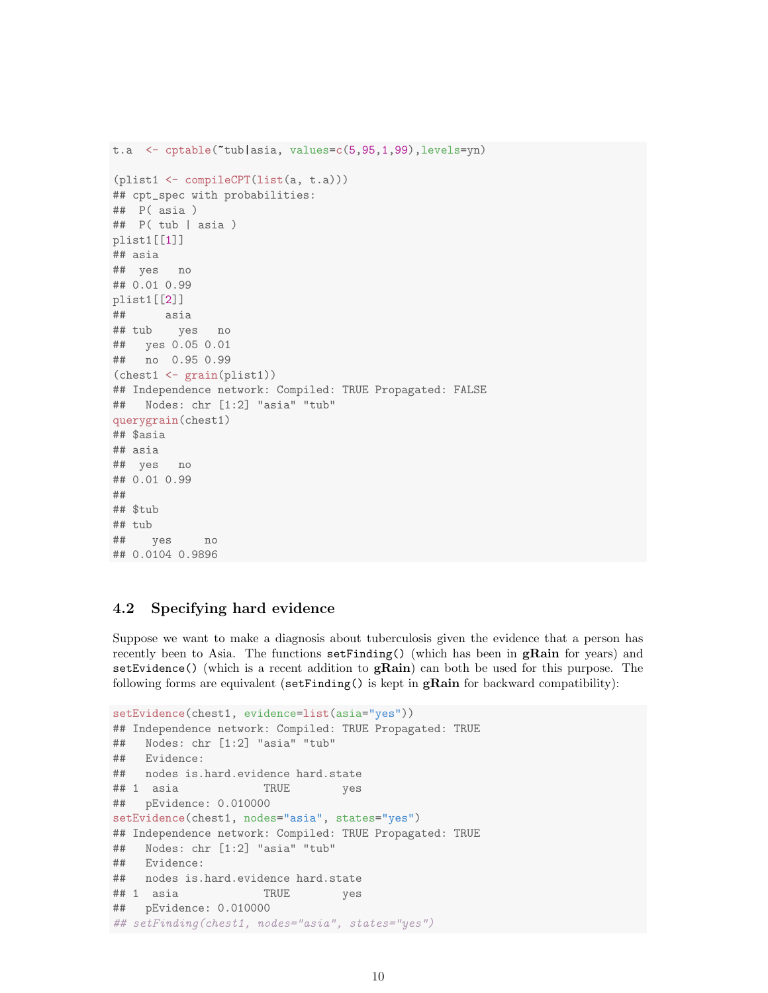```
t.a <- cptable(~tub|asia, values=c(5,95,1,99),levels=yn)
(plist1 <- compileCPT(list(a, t.a)))
## cpt_spec with probabilities:
## P( asia )
## P( tub | asia )
plist1[[1]]
## asia
## yes no
## 0.01 0.99
plist1[[2]]
## asia
## tub yes no
## yes 0.05 0.01
## no 0.95 0.99
(chest1 <- grain(plist1))
## Independence network: Compiled: TRUE Propagated: FALSE
## Nodes: chr [1:2] "asia" "tub"
querygrain(chest1)
## $asia
## asia
## yes no
## 0.01 0.99
##
## $tub
## tub
## yes no
## 0.0104 0.9896
```
## 4.2 Specifying hard evidence

Suppose we want to make a diagnosis about tuberculosis given the evidence that a person has recently been to Asia. The functions  $\text{setFinding}()$  (which has been in  $\text{gRain}$  for years) and setEvidence() (which is a recent addition to  $\mathbf{gRain)}$  can both be used for this purpose. The following forms are equivalent  $(\text{setFinding}()$  is kept in **gRain** for backward compatibility):

```
setEvidence(chest1, evidence=list(asia="yes"))
## Independence network: Compiled: TRUE Propagated: TRUE
## Nodes: chr [1:2] "asia" "tub"
## Evidence:
## nodes is.hard.evidence hard.state
## 1 asia TRUE yes
## pEvidence: 0.010000
setEvidence(chest1, nodes="asia", states="yes")
## Independence network: Compiled: TRUE Propagated: TRUE
## Nodes: chr [1:2] "asia" "tub"
## Evidence:
## nodes is.hard.evidence hard.state
## 1 asia TRUE yes
## pEvidence: 0.010000
## setFinding(chest1, nodes="asia", states="yes")
```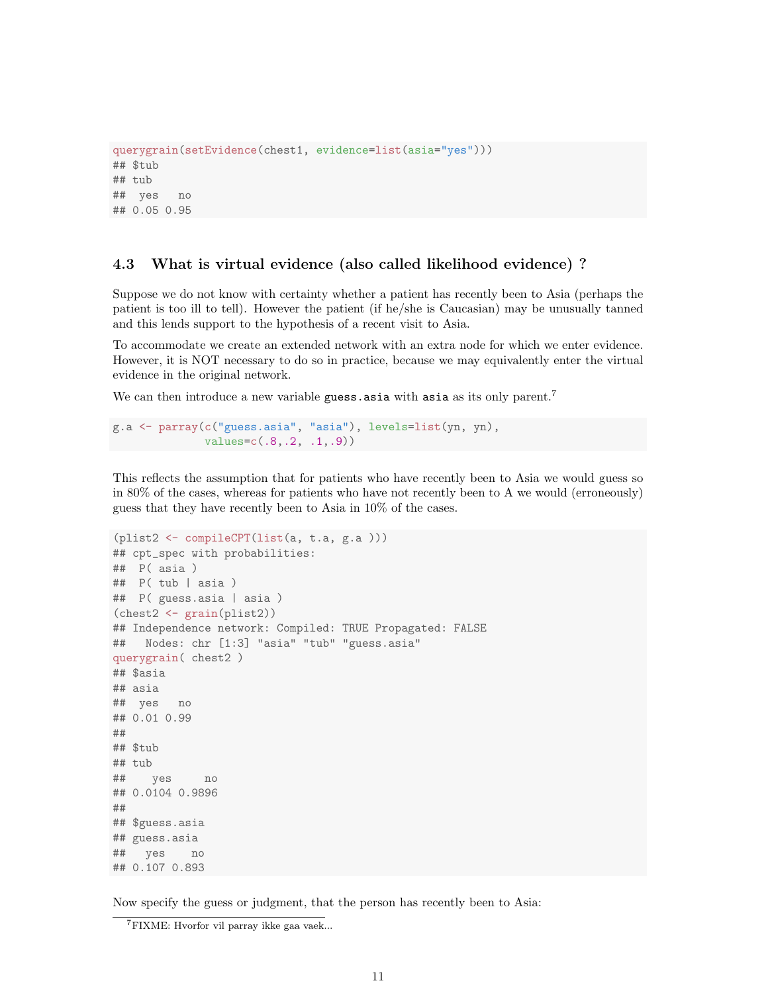```
querygrain(setEvidence(chest1, evidence=list(asia="yes")))
## $tub
## tub
## yes no
## 0.05 0.95
```
### 4.3 What is virtual evidence (also called likelihood evidence) ?

Suppose we do not know with certainty whether a patient has recently been to Asia (perhaps the patient is too ill to tell). However the patient (if he/she is Caucasian) may be unusually tanned and this lends support to the hypothesis of a recent visit to Asia.

To accommodate we create an extended network with an extra node for which we enter evidence. However, it is NOT necessary to do so in practice, because we may equivalently enter the virtual evidence in the original network.

We can then introduce a new variable guess asia with asia as its only parent.<sup>7</sup>

```
g.a <- parray(c("guess.asia", "asia"), levels=list(yn, yn),
              values=c(.8,.2, .1,.9))
```
This reflects the assumption that for patients who have recently been to Asia we would guess so in 80% of the cases, whereas for patients who have not recently been to A we would (erroneously) guess that they have recently been to Asia in 10% of the cases.

```
(plist2 <- compileCPT(list(a, t.a, g.a )))
## cpt_spec with probabilities:
## P( asia )
## P( tub | asia )
## P( guess.asia | asia )
(chest2 <- grain(plist2))
## Independence network: Compiled: TRUE Propagated: FALSE
## Nodes: chr [1:3] "asia" "tub" "guess.asia"
querygrain( chest2 )
## $asia
## asia
## yes no
## 0.01 0.99
##
## $tub
## tub
## yes no
## 0.0104 0.9896
##
## $guess.asia
## guess.asia
## yes no
## 0.107 0.893
```
Now specify the guess or judgment, that the person has recently been to Asia:

<sup>7</sup>FIXME: Hvorfor vil parray ikke gaa vaek...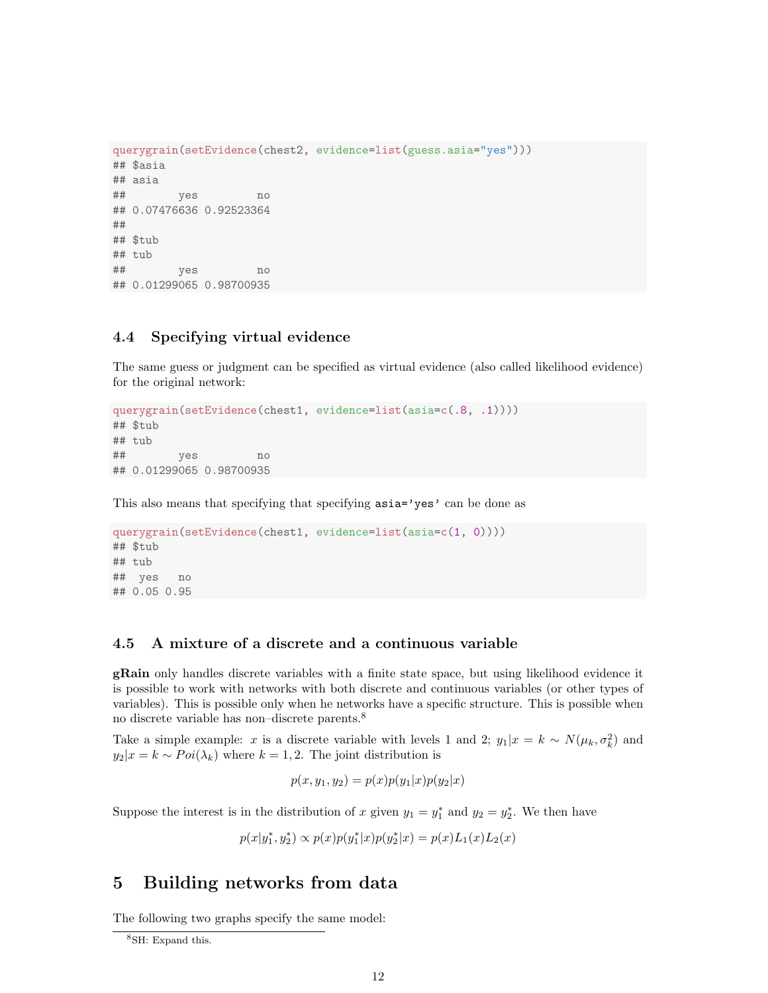```
querygrain(setEvidence(chest2, evidence=list(guess.asia="yes")))
## $asia
## asia
## yes no
## 0.07476636 0.92523364
##
## $tub
## tub
## yes no
## 0.01299065 0.98700935
```
### 4.4 Specifying virtual evidence

The same guess or judgment can be specified as virtual evidence (also called likelihood evidence) for the original network:

```
querygrain(setEvidence(chest1, evidence=list(asia=c(.8, .1))))
## $tub
## tub
## yes no
## 0.01299065 0.98700935
```
This also means that specifying that specifying  $\texttt{asia='yes'}$  can be done as

```
querygrain(setEvidence(chest1, evidence=list(asia=c(1, 0))))
## $tub
## tub
## yes no
## 0.05 0.95
```
## 4.5 A mixture of a discrete and a continuous variable

gRain only handles discrete variables with a finite state space, but using likelihood evidence it is possible to work with networks with both discrete and continuous variables (or other types of variables). This is possible only when he networks have a specific structure. This is possible when no discrete variable has non–discrete parents.<sup>8</sup>

Take a simple example: x is a discrete variable with levels 1 and 2;  $y_1|x = k \sim N(\mu_k, \sigma_k^2)$  and  $y_2|x = k \sim Poi(\lambda_k)$  where  $k = 1, 2$ . The joint distribution is

$$
p(x, y_1, y_2) = p(x)p(y_1|x)p(y_2|x)
$$

Suppose the interest is in the distribution of x given  $y_1 = y_1^*$  and  $y_2 = y_2^*$ . We then have

$$
p(x|y_1^*, y_2^*) \propto p(x)p(y_1^*|x)p(y_2^*|x) = p(x)L_1(x)L_2(x)
$$

# 5 Building networks from data

The following two graphs specify the same model:

<sup>8</sup>SH: Expand this.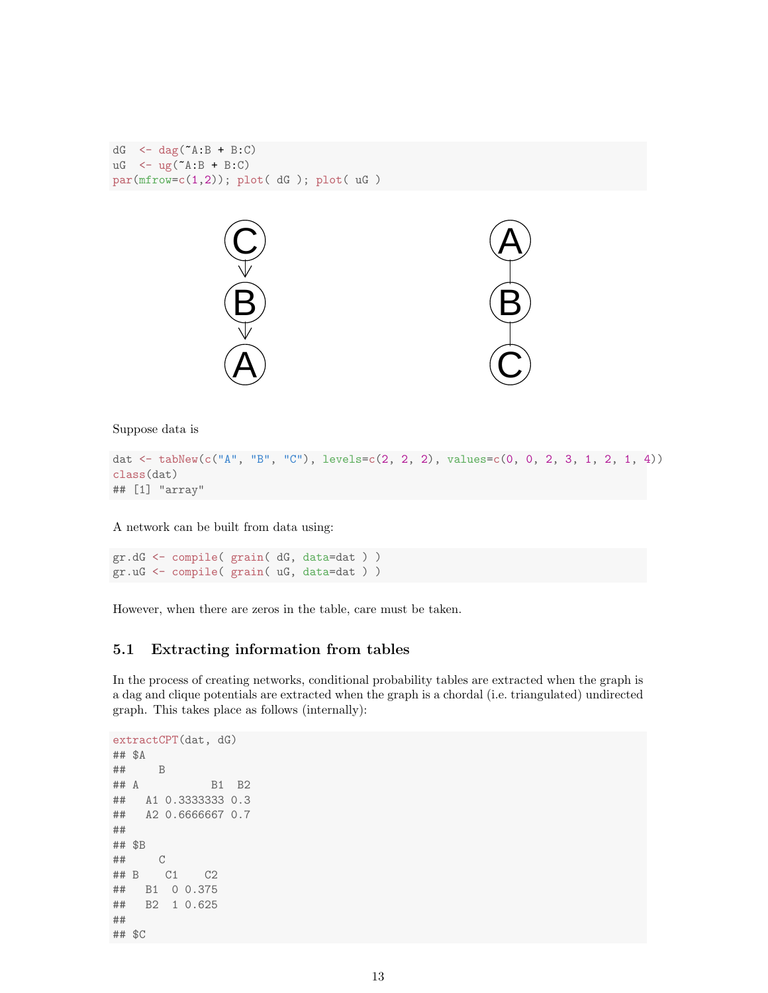```
dG \leftarrow dag(A:B + B:C)
uG \leftarrow ug("A:B + B:C)
par(mfrow=c(1,2)); plot( dG ); plot( uG )
```


Suppose data is

```
dat <- tabNew(c("A", "B", "C"), levels=c(2, 2, 2), values=c(0, 0, 2, 3, 1, 2, 1, 4))
class(dat)
## [1] "array"
```
A network can be built from data using:

```
gr.dG <- compile( grain( dG, data=dat ) )
gr.uG <- compile( grain( uG, data=dat ) )
```
However, when there are zeros in the table, care must be taken.

### 5.1 Extracting information from tables

In the process of creating networks, conditional probability tables are extracted when the graph is a dag and clique potentials are extracted when the graph is a chordal (i.e. triangulated) undirected graph. This takes place as follows (internally):

```
extractCPT(dat, dG)
## $A
## B
## A B1 B2
## A1 0.3333333 0.3
## A2 0.6666667 0.7
##
## $B
## C
## B C1 C2
## B1 0 0.375
## B2 1 0.625
##
## $C
```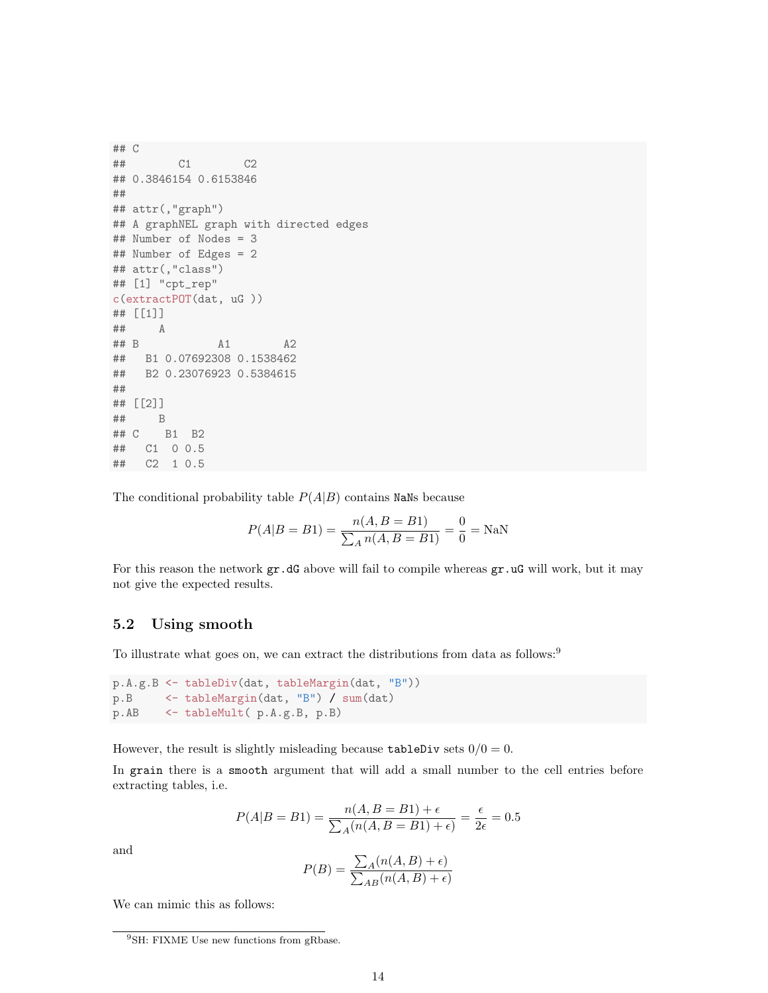```
## C
## C1 C2
## 0.3846154 0.6153846
##
## attr(,"graph")
## A graphNEL graph with directed edges
## Number of Nodes = 3
## Number of Edges = 2
## attr(,"class")
## [1] "cpt_rep"
c(extractPOT(dat, uG ))
## [[1]]
## A
## B A1 A2
## B1 0.07692308 0.1538462
## B2 0.23076923 0.5384615
##
## [[2]]
## B
## C B1 B2
## C1 0 0.5
## C2 1 0.5
```
The conditional probability table  $P(A|B)$  contains NaNs because

$$
P(A|B = B1) = \frac{n(A, B = B1)}{\sum_{A} n(A, B = B1)} = \frac{0}{0} = \text{NaN}
$$

For this reason the network  $gr.dG$  above will fail to compile whereas  $gr.uG$  will work, but it may not give the expected results.

### 5.2 Using smooth

To illustrate what goes on, we can extract the distributions from data as follows:<sup>9</sup>

```
p.A.g.B <- tableDiv(dat, tableMargin(dat, "B"))
p.B <- tableMargin(dat, "B") / sum(dat)
p.AB <- tableMult( p.A.g.B, p.B)
```
However, the result is slightly misleading because  $\tt tableDiv sets$   $0/0 = 0$ .

In grain there is a smooth argument that will add a small number to the cell entries before extracting tables, i.e.

$$
P(A|B = B1) = \frac{n(A, B = B1) + \epsilon}{\sum_{A} (n(A, B = B1) + \epsilon)} = \frac{\epsilon}{2\epsilon} = 0.5
$$

and

$$
P(B) = \frac{\sum_{A} (n(A, B) + \epsilon)}{\sum_{AB} (n(A, B) + \epsilon)}
$$

We can mimic this as follows:

<sup>&</sup>lt;sup>9</sup>SH: FIXME Use new functions from gRbase.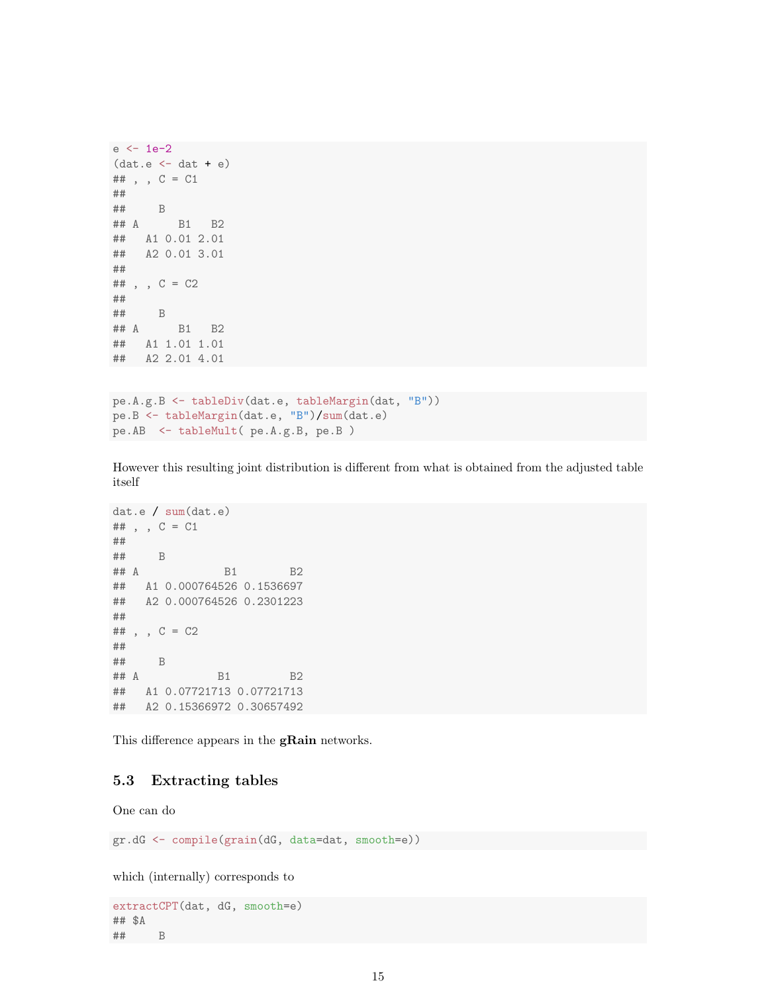```
e <- 1e-2
(data.e < -dat + e)## , , C = C1
##
## B
## A B1 B2
## A1 0.01 2.01
## A2 0.01 3.01
##
## , , C = C2
##
## B
## A B1 B2
## A1 1.01 1.01
## A2 2.01 4.01
```

```
pe.A.g.B <- tableDiv(dat.e, tableMargin(dat, "B"))
pe.B <- tableMargin(dat.e, "B")/sum(dat.e)
pe.AB <- tableMult( pe.A.g.B, pe.B )
```
However this resulting joint distribution is different from what is obtained from the adjusted table itself

```
dat.e / sum(dat.e)
## , , C = C1
##
## B
## A B1 B2
## A1 0.000764526 0.1536697
## A2 0.000764526 0.2301223
##
## , , C = C2
##
## B
## A B1 B2
## A1 0.07721713 0.07721713
## A2 0.15366972 0.30657492
```
This difference appears in the **gRain** networks.

### 5.3 Extracting tables

One can do

gr.dG <- compile(grain(dG, data=dat, smooth=e))

which (internally) corresponds to

```
extractCPT(dat, dG, smooth=e)
## $A
## B
```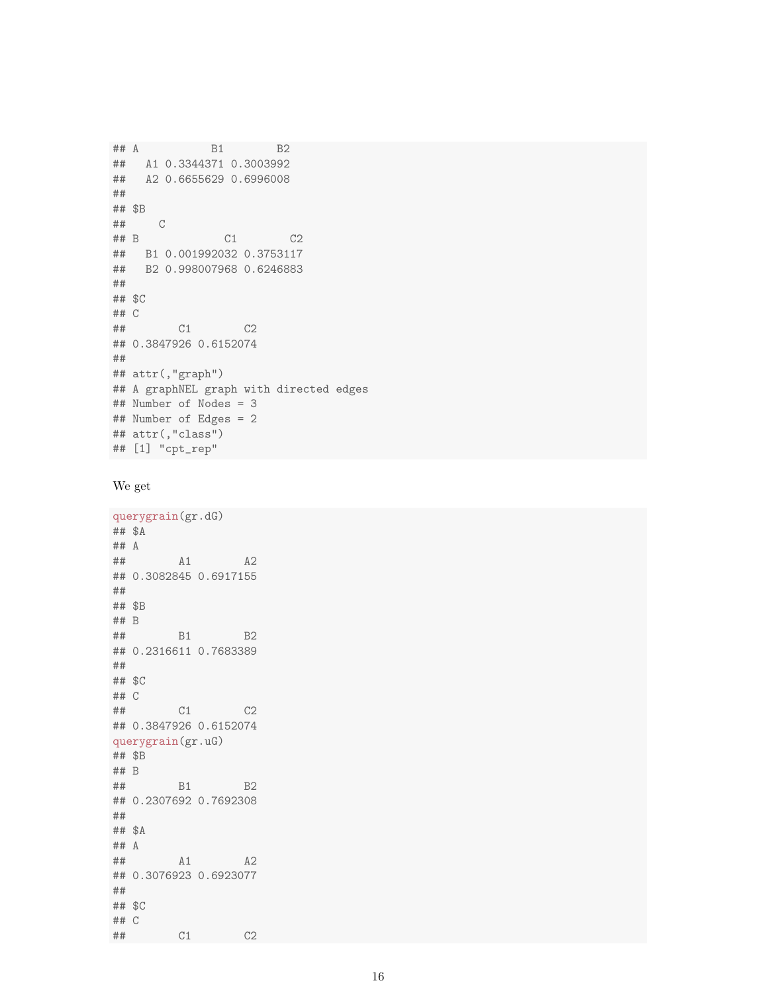```
## A B1 B2
## A1 0.3344371 0.3003992
## A2 0.6655629 0.6996008
##
## $B
## C
## B C1 C2
## B1 0.001992032 0.3753117
## B2 0.998007968 0.6246883
##
## $C
## C
## C1 C2
## 0.3847926 0.6152074
##
## attr(,"graph")
## A graphNEL graph with directed edges
## Number of Nodes = 3
## Number of Edges = 2
## attr(,"class")
## [1] "cpt_rep"
```

```
We get
```

```
querygrain(gr.dG)
## $A
## A
## A1 A2
## 0.3082845 0.6917155
##
## $B
## B
## B1 B2
## 0.2316611 0.7683389
##
## $C
## C
## C1 C2
## 0.3847926 0.6152074
querygrain(gr.uG)
## $B
## B
## B1 B2
## 0.2307692 0.7692308
##
## $A
## A
## A1 A2
## 0.3076923 0.6923077
##
## $C
## C
## C1 C2
```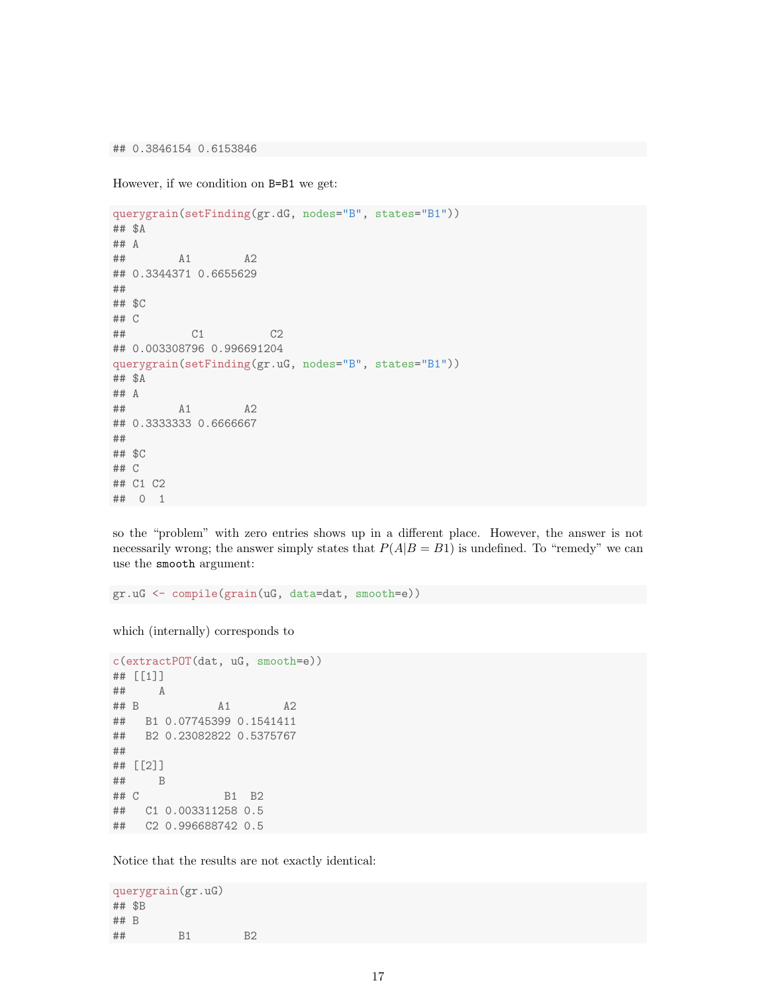## 0.3846154 0.6153846

However, if we condition on B=B1 we get:

```
querygrain(setFinding(gr.dG, nodes="B", states="B1"))
## $A
## A
## A1 A2
## 0.3344371 0.6655629
##
## $C
## C
## C1 C2
## 0.003308796 0.996691204
querygrain(setFinding(gr.uG, nodes="B", states="B1"))
## $A
## A
## A1 A2
## 0.3333333 0.6666667
##
## $C
## C
## C1 C2
## 0 1
```
so the "problem" with zero entries shows up in a different place. However, the answer is not necessarily wrong; the answer simply states that  $P(A|B = B1)$  is undefined. To "remedy" we can use the smooth argument:

gr.uG <- compile(grain(uG, data=dat, smooth=e))

which (internally) corresponds to

```
c(extractPOT(dat, uG, smooth=e))
## [[1]]
## A
## B A1 A2
## B1 0.07745399 0.1541411
## B2 0.23082822 0.5375767
##
## [[2]]
## B
## C B1 B2
## C1 0.003311258 0.5
## C2 0.996688742 0.5
```
Notice that the results are not exactly identical:

```
querygrain(gr.uG)
## $B
## B
## B1 B2
```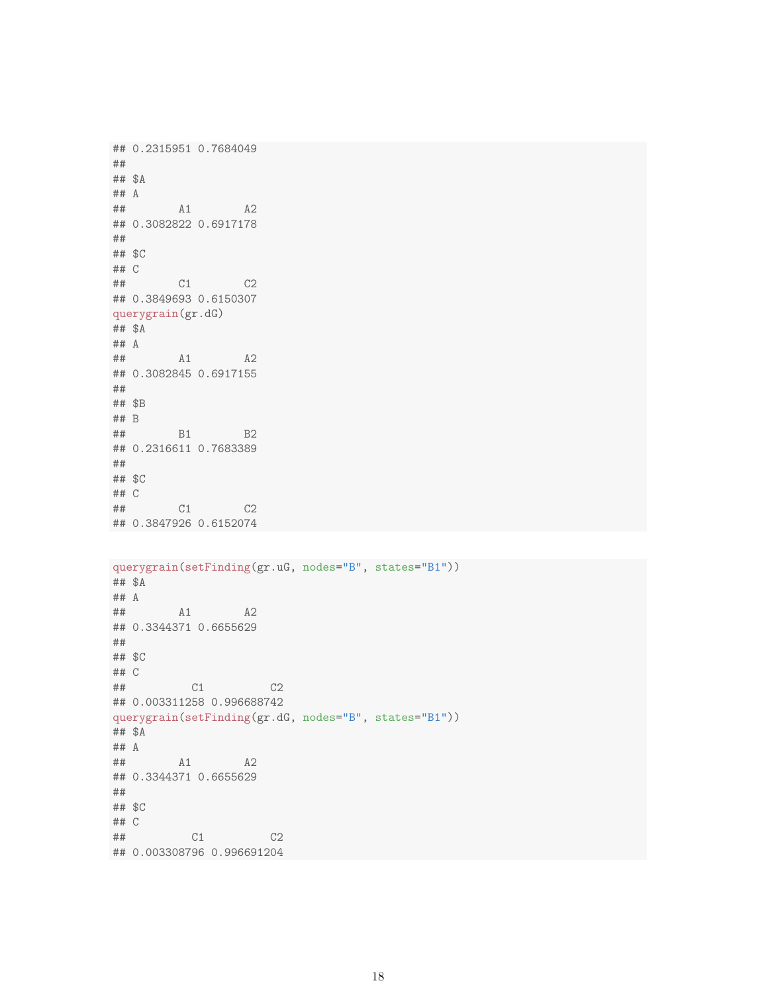## 0.2315951 0.7684049 ## ## \$A ## A ## A1 A2 ## 0.3082822 0.6917178 ## ## \$C ## C ## C1 C2 ## 0.3849693 0.6150307 querygrain(gr.dG) ## \$A ## A ## A1 A2 ## 0.3082845 0.6917155 ## ## \$B ## B ## B1 B2 ## 0.2316611 0.7683389 ## ## \$C ## C ## C1 C2 ## 0.3847926 0.6152074 querygrain(setFinding(gr.uG, nodes="B", states="B1")) ## \$A ## A ## A1 A2 ## 0.3344371 0.6655629 ## ## \$C ## C ## C1 C2 ## 0.003311258 0.996688742 querygrain(setFinding(gr.dG, nodes="B", states="B1")) ## \$A ## A ## A1 A2 ## 0.3344371 0.6655629 ## ## \$C ## C ## C1 C2 ## 0.003308796 0.996691204